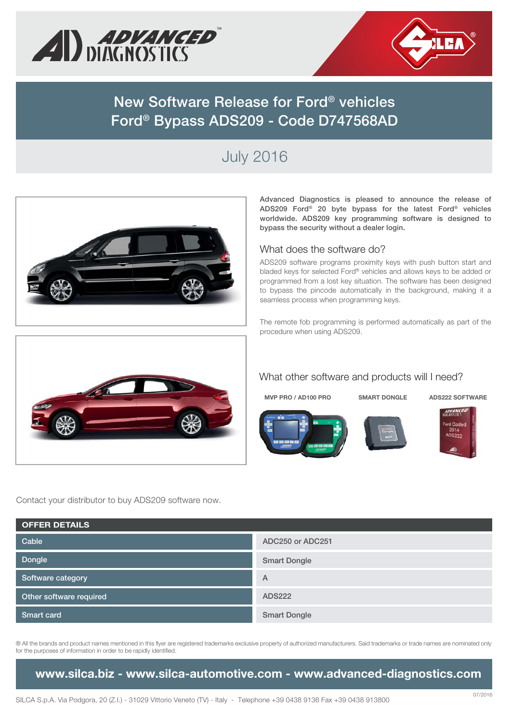



## **New Software Release for Ford® vehicles Ford® Bypass ADS209 - Code D747568AD**

# July 2016



**Advanced Diagnostics is pleased to announce the release of ADS209 Ford® 20 byte bypass for the latest Ford® vehicles worldwide. ADS209 key programming software is designed to bypass the security without a dealer login.**

#### What does the software do?

ADS209 software programs proximity keys with push button start and bladed keys for selected Ford® vehicles and allows keys to be added or programmed from a lost key situation. The software has been designed to bypass the pincode automatically in the background, making it a seamless process when programming keys.

The remote fob programming is performed automatically as part of the procedure when using ADS209.



### What other software and products will I need?

**MVP PRO / AD100 PRO SMART DONGLE ADS222 SOFTWARE**







Contact your distributor to buy ADS209 software now.

| <b>OFFER DETAILS</b>    |                     |  |  |  |
|-------------------------|---------------------|--|--|--|
| Cable                   | ADC250 or ADC251    |  |  |  |
| Dongle                  | <b>Smart Dongle</b> |  |  |  |
| Software category       | $\overline{A}$      |  |  |  |
| Other software required | <b>ADS222</b>       |  |  |  |
| Smart card              | <b>Smart Dongle</b> |  |  |  |

® All the brands and product names mentioned in this flyer are registered trademarks exclusive property of authorized manufacturers. Said trademarks or trade names are nominated only for the purposes of information in order to be rapidly identified.

**www.silca.biz - www.silca-automotive.com - www.advanced-diagnostics.com**